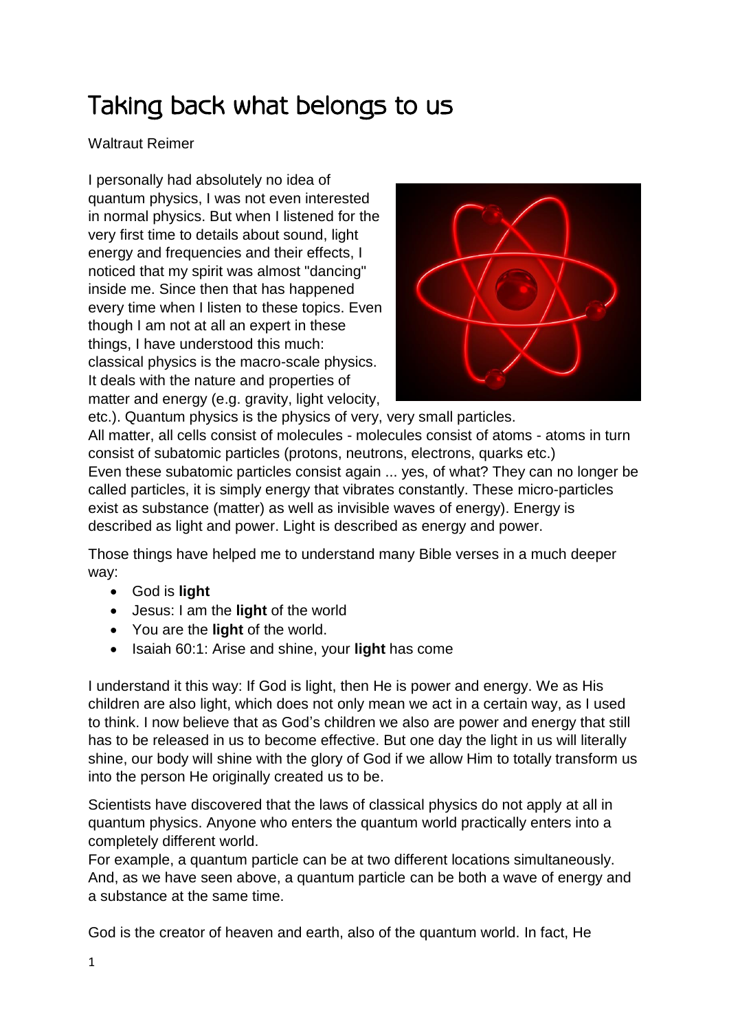## Taking back what belongs to us

## Waltraut Reimer

I personally had absolutely no idea of quantum physics, I was not even interested in normal physics. But when I listened for the very first time to details about sound, light energy and frequencies and their effects, I noticed that my spirit was almost "dancing" inside me. Since then that has happened every time when I listen to these topics. Even though I am not at all an expert in these things, I have understood this much: classical physics is the macro-scale physics. It deals with the nature and properties of matter and energy (e.g. gravity, light velocity,



etc.). Quantum physics is the physics of very, very small particles. All matter, all cells consist of molecules - molecules consist of atoms - atoms in turn consist of subatomic particles (protons, neutrons, electrons, quarks etc.) Even these subatomic particles consist again ... yes, of what? They can no longer be called particles, it is simply energy that vibrates constantly. These micro-particles exist as substance (matter) as well as invisible waves of energy). Energy is described as light and power. Light is described as energy and power.

Those things have helped me to understand many Bible verses in a much deeper way:

- God is **light**
- Jesus: I am the **light** of the world
- You are the **light** of the world.
- **Isaiah 60:1: Arise and shine, your light has come**

I understand it this way: If God is light, then He is power and energy. We as His children are also light, which does not only mean we act in a certain way, as I used to think. I now believe that as God's children we also are power and energy that still has to be released in us to become effective. But one day the light in us will literally shine, our body will shine with the glory of God if we allow Him to totally transform us into the person He originally created us to be.

Scientists have discovered that the laws of classical physics do not apply at all in quantum physics. Anyone who enters the quantum world practically enters into a completely different world.

For example, a quantum particle can be at two different locations simultaneously. And, as we have seen above, a quantum particle can be both a wave of energy and a substance at the same time.

God is the creator of heaven and earth, also of the quantum world. In fact, He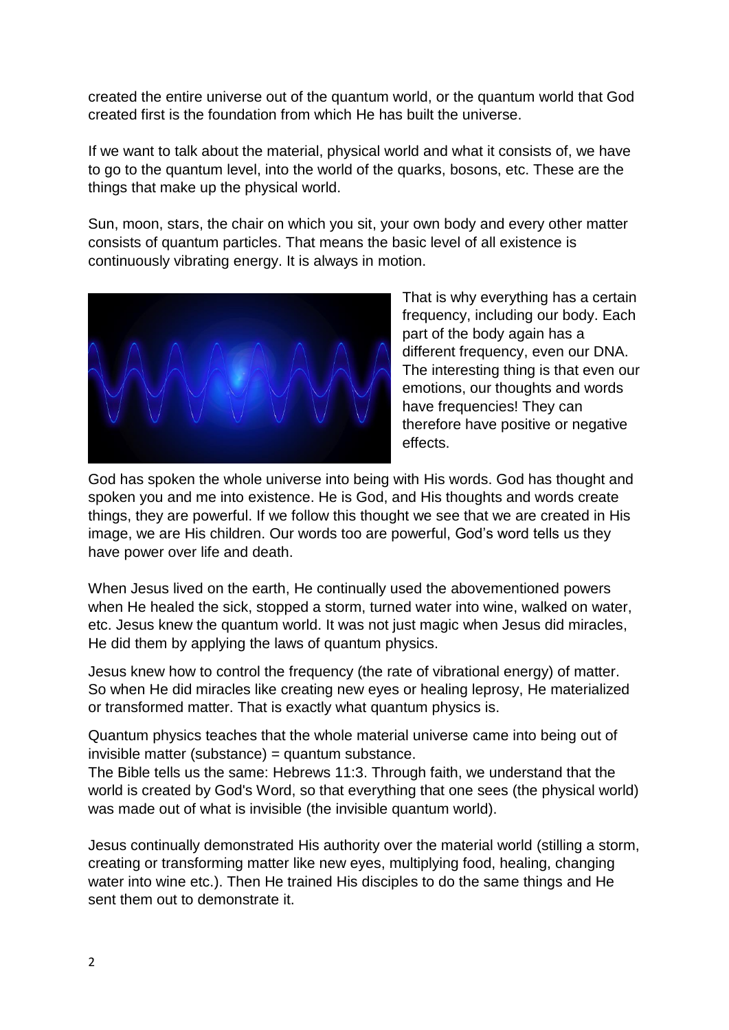created the entire universe out of the quantum world, or the quantum world that God created first is the foundation from which He has built the universe.

If we want to talk about the material, physical world and what it consists of, we have to go to the quantum level, into the world of the quarks, bosons, etc. These are the things that make up the physical world.

Sun, moon, stars, the chair on which you sit, your own body and every other matter consists of quantum particles. That means the basic level of all existence is continuously vibrating energy. It is always in motion.



That is why everything has a certain frequency, including our body. Each part of the body again has a different frequency, even our DNA. The interesting thing is that even our emotions, our thoughts and words have frequencies! They can therefore have positive or negative effects.

God has spoken the whole universe into being with His words. God has thought and spoken you and me into existence. He is God, and His thoughts and words create things, they are powerful. If we follow this thought we see that we are created in His image, we are His children. Our words too are powerful, God's word tells us they have power over life and death.

When Jesus lived on the earth, He continually used the abovementioned powers when He healed the sick, stopped a storm, turned water into wine, walked on water, etc. Jesus knew the quantum world. It was not just magic when Jesus did miracles, He did them by applying the laws of quantum physics.

Jesus knew how to control the frequency (the rate of vibrational energy) of matter. So when He did miracles like creating new eyes or healing leprosy, He materialized or transformed matter. That is exactly what quantum physics is.

Quantum physics teaches that the whole material universe came into being out of invisible matter (substance) = quantum substance.

The Bible tells us the same: Hebrews 11:3. Through faith, we understand that the world is created by God's Word, so that everything that one sees (the physical world) was made out of what is invisible (the invisible quantum world).

Jesus continually demonstrated His authority over the material world (stilling a storm, creating or transforming matter like new eyes, multiplying food, healing, changing water into wine etc.). Then He trained His disciples to do the same things and He sent them out to demonstrate it.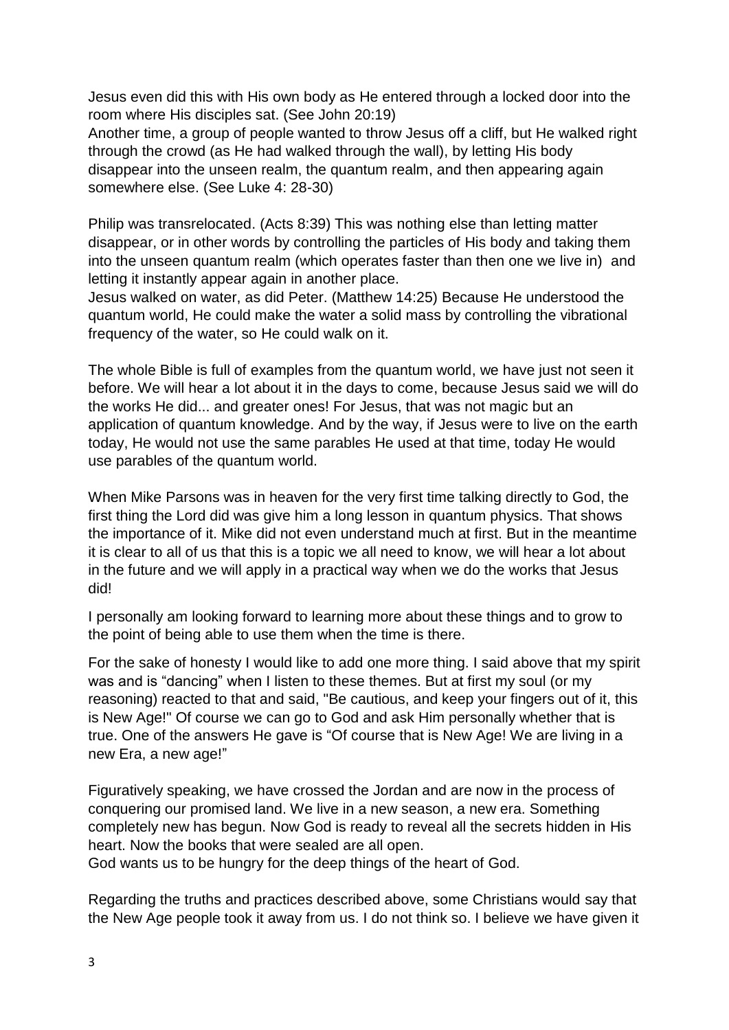Jesus even did this with His own body as He entered through a locked door into the room where His disciples sat. (See John 20:19)

Another time, a group of people wanted to throw Jesus off a cliff, but He walked right through the crowd (as He had walked through the wall), by letting His body disappear into the unseen realm, the quantum realm, and then appearing again somewhere else. (See Luke 4: 28-30)

Philip was transrelocated. (Acts 8:39) This was nothing else than letting matter disappear, or in other words by controlling the particles of His body and taking them into the unseen quantum realm (which operates faster than then one we live in) and letting it instantly appear again in another place.

Jesus walked on water, as did Peter. (Matthew 14:25) Because He understood the quantum world, He could make the water a solid mass by controlling the vibrational frequency of the water, so He could walk on it.

The whole Bible is full of examples from the quantum world, we have just not seen it before. We will hear a lot about it in the days to come, because Jesus said we will do the works He did... and greater ones! For Jesus, that was not magic but an application of quantum knowledge. And by the way, if Jesus were to live on the earth today, He would not use the same parables He used at that time, today He would use parables of the quantum world.

When Mike Parsons was in heaven for the very first time talking directly to God, the first thing the Lord did was give him a long lesson in quantum physics. That shows the importance of it. Mike did not even understand much at first. But in the meantime it is clear to all of us that this is a topic we all need to know, we will hear a lot about in the future and we will apply in a practical way when we do the works that Jesus did!

I personally am looking forward to learning more about these things and to grow to the point of being able to use them when the time is there.

For the sake of honesty I would like to add one more thing. I said above that my spirit was and is "dancing" when I listen to these themes. But at first my soul (or my reasoning) reacted to that and said, "Be cautious, and keep your fingers out of it, this is New Age!" Of course we can go to God and ask Him personally whether that is true. One of the answers He gave is "Of course that is New Age! We are living in a new Era, a new age!"

Figuratively speaking, we have crossed the Jordan and are now in the process of conquering our promised land. We live in a new season, a new era. Something completely new has begun. Now God is ready to reveal all the secrets hidden in His heart. Now the books that were sealed are all open.

God wants us to be hungry for the deep things of the heart of God.

Regarding the truths and practices described above, some Christians would say that the New Age people took it away from us. I do not think so. I believe we have given it